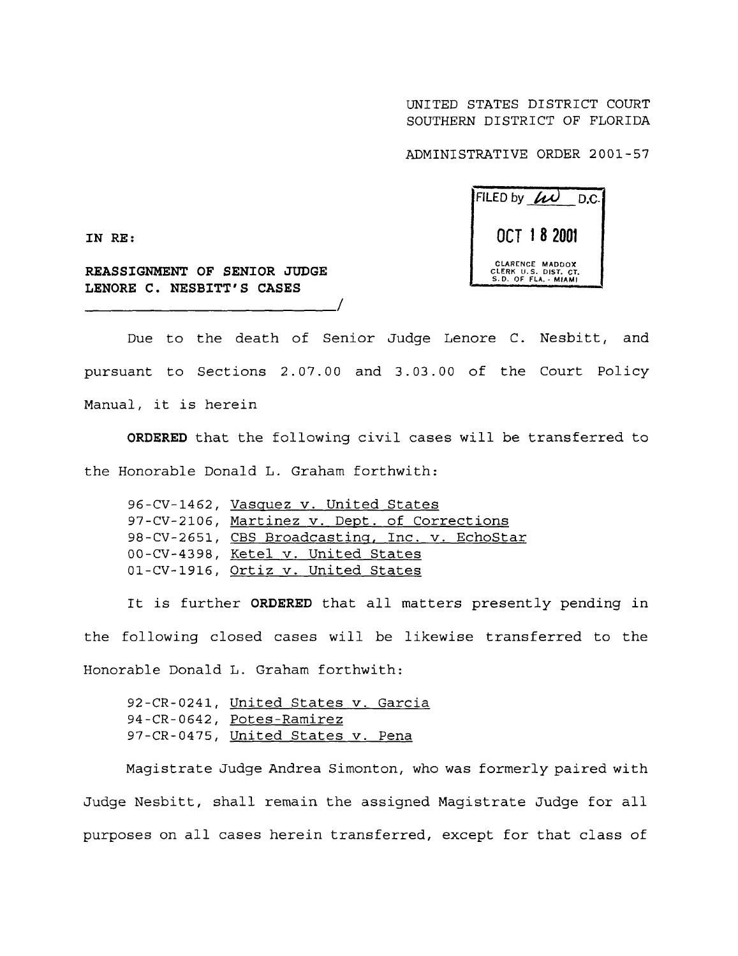UNITED STATES DISTRICT COURT SOUTHERN DISTRICT OF FLORIDA

ADMINISTRATIVE ORDER 2001-57



**IN RE :**

**REASSIGNMENT OF SENIOR JUDGE LENORE C . NESBITT** ' **S CASES**

Due to the death of Senior Judge Lenore C. Nesbitt, and pursuant to Sections 2 .07 .00 and 3 .03 .00 of the Court Policy Manual, it is herein

**ORDERED** that the following civil cases will be transferred to the Honorable Donald L. Graham forthwith:

| 96-CV-1462, Vasquez v. United States           |
|------------------------------------------------|
| 97-CV-2106, Martinez v. Dept. of Corrections   |
| 98-CV-2651, CBS Broadcasting, Inc. v. EchoStar |
| 00-CV-4398, Ketel v. United States             |
| 01-CV-1916, Ortiz v. United States             |

It is further **ORDERED** that all matters presently pending in the following closed cases will be likewise transferred to the Honorable Donald L. Graham forthwith:

92-CR-0241, United States v. Garcia 94-CR-0642, Potes-Ramirez 97-CR-0475, United States v. Pena

Magistrate Judge Andrea Simonton, who was formerly paired with Judge Nesbitt, shall remain the assigned Magistrate Judge for all purposes on all cases herein transferred, except for that class of